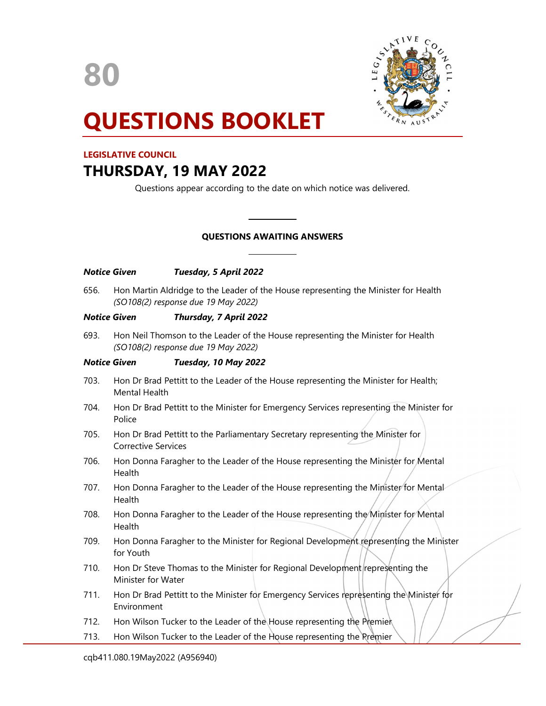80



# QUESTIONS BOOKLET

## LEGISLATIVE COUNCIL

## THURSDAY, 19 MAY 2022

Questions appear according to the date on which notice was delivered.

## QUESTIONS AWAITING ANSWERS

| 656. | Hon Martin Aldridge to the Leader of the House representing the Minister for Health |
|------|-------------------------------------------------------------------------------------|
|      | (SO108(2) response due 19 May 2022)                                                 |

 $\overline{a}$ 

## Notice Given Thursday, 7 April 2022

Notice Given Tuesday, 5 April 2022

693. Hon Neil Thomson to the Leader of the House representing the Minister for Health (SO108(2) response due 19 May 2022)

## Notice Given Tuesday, 10 May 2022

- 703. Hon Dr Brad Pettitt to the Leader of the House representing the Minister for Health; Mental Health
- 704. Hon Dr Brad Pettitt to the Minister for Emergency Services representing the Minister for Police
- 705. Hon Dr Brad Pettitt to the Parliamentary Secretary representing the Minister for Corrective Services
- 706. Hon Donna Faragher to the Leader of the House representing the Minister for Mental Health
- 707. Hon Donna Faragher to the Leader of the House representing the Minister for Mental Health
- 708. Hon Donna Faragher to the Leader of the House representing the Minister for Mental Health
- 709. Hon Donna Faragher to the Minister for Regional Development representing the Minister for Youth
- 710. Hon Dr Steve Thomas to the Minister for Regional Development representing the Minister for Water
- 711. Hon Dr Brad Pettitt to the Minister for Emergency Services representing the Minister for Environment
- 712. Hon Wilson Tucker to the Leader of the House representing the Premier
- 713. Hon Wilson Tucker to the Leader of the House representing the Premier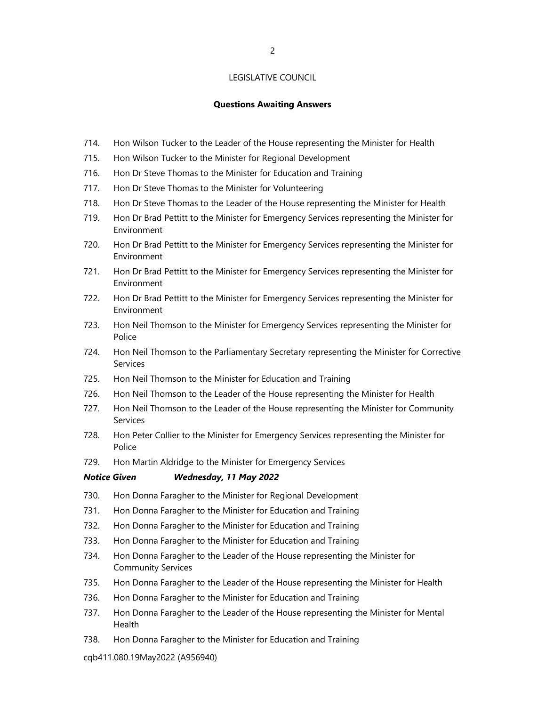#### Questions Awaiting Answers

- 714. Hon Wilson Tucker to the Leader of the House representing the Minister for Health
- 715. Hon Wilson Tucker to the Minister for Regional Development
- 716. Hon Dr Steve Thomas to the Minister for Education and Training
- 717. Hon Dr Steve Thomas to the Minister for Volunteering
- 718. Hon Dr Steve Thomas to the Leader of the House representing the Minister for Health
- 719. Hon Dr Brad Pettitt to the Minister for Emergency Services representing the Minister for Environment
- 720. Hon Dr Brad Pettitt to the Minister for Emergency Services representing the Minister for Environment
- 721. Hon Dr Brad Pettitt to the Minister for Emergency Services representing the Minister for Environment
- 722. Hon Dr Brad Pettitt to the Minister for Emergency Services representing the Minister for Environment
- 723. Hon Neil Thomson to the Minister for Emergency Services representing the Minister for Police
- 724. Hon Neil Thomson to the Parliamentary Secretary representing the Minister for Corrective Services
- 725. Hon Neil Thomson to the Minister for Education and Training
- 726. Hon Neil Thomson to the Leader of the House representing the Minister for Health
- 727. Hon Neil Thomson to the Leader of the House representing the Minister for Community Services
- 728. Hon Peter Collier to the Minister for Emergency Services representing the Minister for Police
- 729. Hon Martin Aldridge to the Minister for Emergency Services

## Notice Given Wednesday, 11 May 2022

- 730. Hon Donna Faragher to the Minister for Regional Development
- 731. Hon Donna Faragher to the Minister for Education and Training
- 732. Hon Donna Faragher to the Minister for Education and Training
- 733. Hon Donna Faragher to the Minister for Education and Training
- 734. Hon Donna Faragher to the Leader of the House representing the Minister for Community Services
- 735. Hon Donna Faragher to the Leader of the House representing the Minister for Health
- 736. Hon Donna Faragher to the Minister for Education and Training
- 737. Hon Donna Faragher to the Leader of the House representing the Minister for Mental Health
- 738. Hon Donna Faragher to the Minister for Education and Training

cqb411.080.19May2022 (A956940)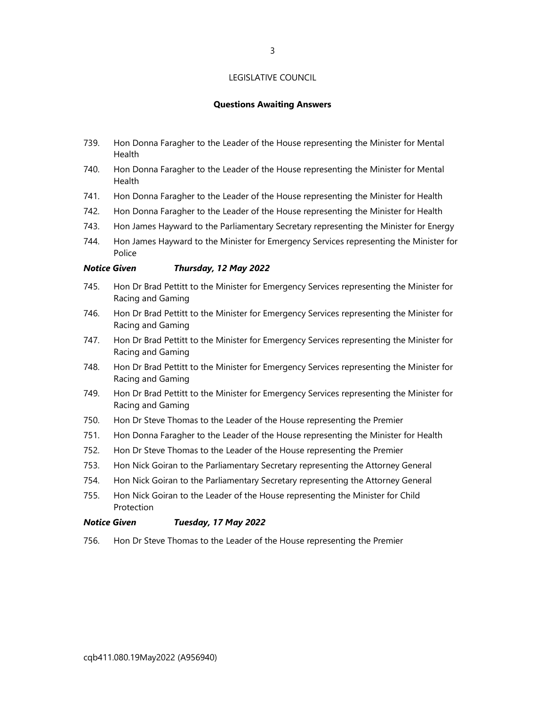#### Questions Awaiting Answers

- 739. Hon Donna Faragher to the Leader of the House representing the Minister for Mental Health
- 740. Hon Donna Faragher to the Leader of the House representing the Minister for Mental Health
- 741. Hon Donna Faragher to the Leader of the House representing the Minister for Health
- 742. Hon Donna Faragher to the Leader of the House representing the Minister for Health
- 743. Hon James Hayward to the Parliamentary Secretary representing the Minister for Energy
- 744. Hon James Hayward to the Minister for Emergency Services representing the Minister for Police

#### Notice Given Thursday, 12 May 2022

- 745. Hon Dr Brad Pettitt to the Minister for Emergency Services representing the Minister for Racing and Gaming
- 746. Hon Dr Brad Pettitt to the Minister for Emergency Services representing the Minister for Racing and Gaming
- 747. Hon Dr Brad Pettitt to the Minister for Emergency Services representing the Minister for Racing and Gaming
- 748. Hon Dr Brad Pettitt to the Minister for Emergency Services representing the Minister for Racing and Gaming
- 749. Hon Dr Brad Pettitt to the Minister for Emergency Services representing the Minister for Racing and Gaming
- 750. Hon Dr Steve Thomas to the Leader of the House representing the Premier
- 751. Hon Donna Faragher to the Leader of the House representing the Minister for Health
- 752. Hon Dr Steve Thomas to the Leader of the House representing the Premier
- 753. Hon Nick Goiran to the Parliamentary Secretary representing the Attorney General
- 754. Hon Nick Goiran to the Parliamentary Secretary representing the Attorney General
- 755. Hon Nick Goiran to the Leader of the House representing the Minister for Child Protection

#### Notice Given Tuesday, 17 May 2022

756. Hon Dr Steve Thomas to the Leader of the House representing the Premier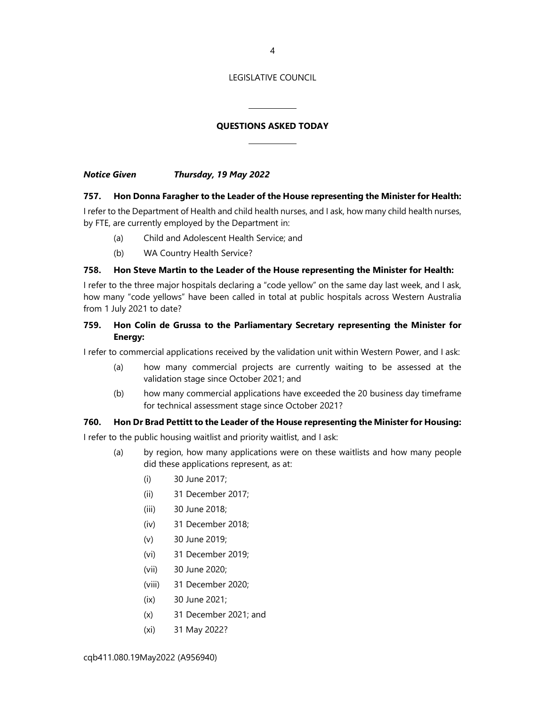## QUESTIONS ASKED TODAY

Notice Given Thursday, 19 May 2022

#### 757. Hon Donna Faragher to the Leader of the House representing the Minister for Health:

I refer to the Department of Health and child health nurses, and I ask, how many child health nurses, by FTE, are currently employed by the Department in:

- (a) Child and Adolescent Health Service; and
- (b) WA Country Health Service?

## 758. Hon Steve Martin to the Leader of the House representing the Minister for Health:

I refer to the three major hospitals declaring a "code yellow" on the same day last week, and I ask, how many "code yellows" have been called in total at public hospitals across Western Australia from 1 July 2021 to date?

## 759. Hon Colin de Grussa to the Parliamentary Secretary representing the Minister for Energy:

I refer to commercial applications received by the validation unit within Western Power, and I ask:

- (a) how many commercial projects are currently waiting to be assessed at the validation stage since October 2021; and
- (b) how many commercial applications have exceeded the 20 business day timeframe for technical assessment stage since October 2021?

#### 760. Hon Dr Brad Pettitt to the Leader of the House representing the Minister for Housing:

I refer to the public housing waitlist and priority waitlist, and I ask:

- (a) by region, how many applications were on these waitlists and how many people did these applications represent, as at:
	- (i) 30 June 2017;
	- (ii) 31 December 2017;
	- (iii) 30 June 2018;
	- (iv) 31 December 2018;
	- (v) 30 June 2019;
	- (vi) 31 December 2019;
	- (vii) 30 June 2020;
	- (viii) 31 December 2020;
	- (ix) 30 June 2021;
	- (x) 31 December 2021; and
	- (xi) 31 May 2022?